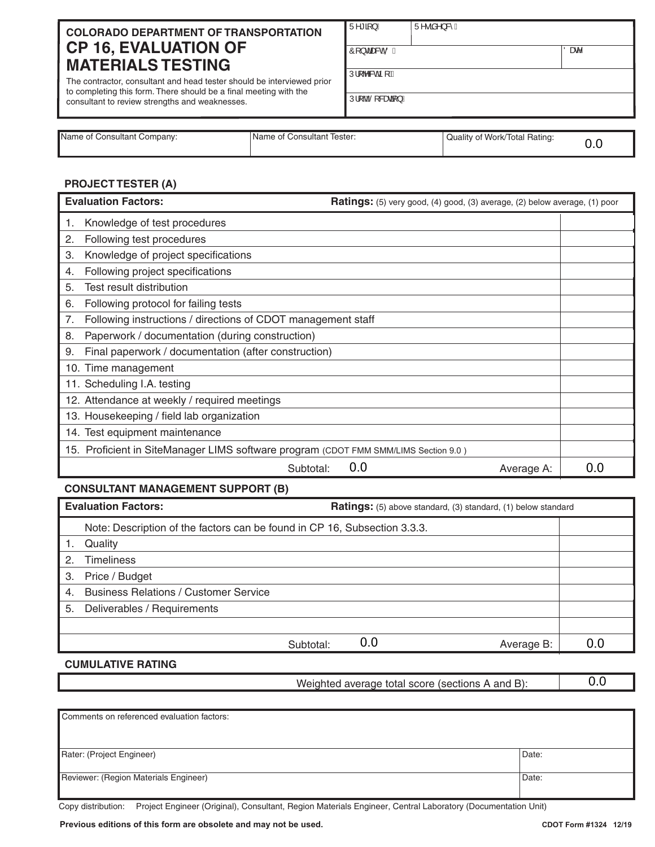# **COLORADO DEPARTMENT OF TRANSPORTATION CP 16, EVALUATION OF MATERIALS TESTING**

The contractor, consultant and head tester should be interviewed prior to completing this form. There should be a final meeting with the consultant to review strengths and weaknesses.

| $\overline{U^{n*}}$ $\overline{\mathbf{a}}$ } $K$ | $\overline{U^{\wedge \bullet} \tilde{a}^{\wedge} \}$ & K |
|---------------------------------------------------|----------------------------------------------------------|
|                                                   |                                                          |

 $\hat{O}$ [}dæso<sup>t</sup>oõK <sup>|</sup>Oæs^

3URM/RFDWLRQ

| Name of Consultant Company: | Name of Consultant Tester: | Quality of Work/Total Rating: |  |
|-----------------------------|----------------------------|-------------------------------|--|

# **PROJECT TESTER (A)**

| <b>Evaluation Factors:</b>                                                          | <b>Ratings:</b> (5) very good, (4) good, (3) average, (2) below average, (1) poor |     |
|-------------------------------------------------------------------------------------|-----------------------------------------------------------------------------------|-----|
| Knowledge of test procedures                                                        |                                                                                   |     |
| Following test procedures<br>2.                                                     |                                                                                   |     |
| Knowledge of project specifications<br>3.                                           |                                                                                   |     |
| Following project specifications<br>4.                                              |                                                                                   |     |
| 5.<br>Test result distribution                                                      |                                                                                   |     |
| Following protocol for failing tests<br>6.                                          |                                                                                   |     |
| Following instructions / directions of CDOT management staff<br>7.                  |                                                                                   |     |
| Paperwork / documentation (during construction)<br>8.                               |                                                                                   |     |
| Final paperwork / documentation (after construction)<br>9.                          |                                                                                   |     |
| 10. Time management                                                                 |                                                                                   |     |
| 11. Scheduling I.A. testing                                                         |                                                                                   |     |
| 12. Attendance at weekly / required meetings                                        |                                                                                   |     |
| 13. Housekeeping / field lab organization                                           |                                                                                   |     |
| 14. Test equipment maintenance                                                      |                                                                                   |     |
| 15. Proficient in SiteManager LIMS software program (CDOT FMM SMM/LIMS Section 9.0) |                                                                                   |     |
| Subtotal:                                                                           | 0.0<br>Average A:                                                                 | 0.0 |

# **CONSULTANT MANAGEMENT SUPPORT (B)**

| <b>Evaluation Factors:</b>                                                | <b>Ratings:</b> (5) above standard, (3) standard, (1) below standard |     |
|---------------------------------------------------------------------------|----------------------------------------------------------------------|-----|
| Note: Description of the factors can be found in CP 16, Subsection 3.3.3. |                                                                      |     |
| Quality                                                                   |                                                                      |     |
| <b>Timeliness</b><br>2.                                                   |                                                                      |     |
| Price / Budget<br>3.                                                      |                                                                      |     |
| <b>Business Relations / Customer Service</b><br>4.                        |                                                                      |     |
| 5. Deliverables / Requirements                                            |                                                                      |     |
|                                                                           |                                                                      |     |
| Subtotal:                                                                 | 0.0<br>Average B:                                                    | 0.0 |
| CUMULLATIVE DATING                                                        |                                                                      |     |

# **CUMULATIVE RATING**

Weighted average total score (sections A and B):

0.0

| Comments on referenced evaluation factors: |       |
|--------------------------------------------|-------|
|                                            |       |
| Rater: (Project Engineer)                  | Date: |
| Reviewer: (Region Materials Engineer)      | Date: |

Copy distribution: Project Engineer (Original), Consultant, Region Materials Engineer, Central Laboratory (Documentation Unit)

**Previous editions of this form are obsolete and may not be used.**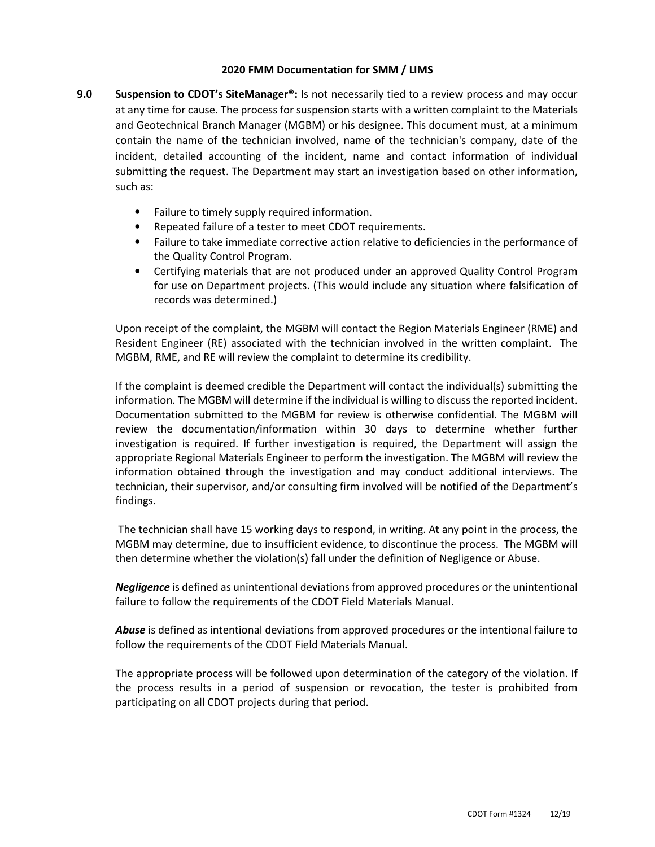## **2020 FMM Documentation for SMM / LIMS**

- **9.0 Suspension to CDOT's SiteManager®:** Is not necessarily tied to a review process and may occur at any time for cause. The process for suspension starts with a written complaint to the Materials and Geotechnical Branch Manager (MGBM) or his designee. This document must, at a minimum contain the name of the technician involved, name of the technician's company, date of the incident, detailed accounting of the incident, name and contact information of individual submitting the request. The Department may start an investigation based on other information, such as:
	- Failure to timely supply required information.
	- Repeated failure of a tester to meet CDOT requirements.
	- Failure to take immediate corrective action relative to deficiencies in the performance of the Quality Control Program.
	- Certifying materials that are not produced under an approved Quality Control Program for use on Department projects. (This would include any situation where falsification of records was determined.)

Upon receipt of the complaint, the MGBM will contact the Region Materials Engineer (RME) and Resident Engineer (RE) associated with the technician involved in the written complaint. The MGBM, RME, and RE will review the complaint to determine its credibility.

If the complaint is deemed credible the Department will contact the individual(s) submitting the information. The MGBM will determine if the individual is willing to discuss the reported incident. Documentation submitted to the MGBM for review is otherwise confidential. The MGBM will review the documentation/information within 30 days to determine whether further investigation is required. If further investigation is required, the Department will assign the appropriate Regional Materials Engineer to perform the investigation. The MGBM will review the information obtained through the investigation and may conduct additional interviews. The technician, their supervisor, and/or consulting firm involved will be notified of the Department's findings.

 The technician shall have 15 working days to respond, in writing. At any point in the process, the MGBM may determine, due to insufficient evidence, to discontinue the process. The MGBM will then determine whether the violation(s) fall under the definition of Negligence or Abuse.

*Negligence* is defined as unintentional deviations from approved procedures or the unintentional failure to follow the requirements of the CDOT Field Materials Manual.

*Abuse* is defined as intentional deviations from approved procedures or the intentional failure to follow the requirements of the CDOT Field Materials Manual.

The appropriate process will be followed upon determination of the category of the violation. If the process results in a period of suspension or revocation, the tester is prohibited from participating on all CDOT projects during that period.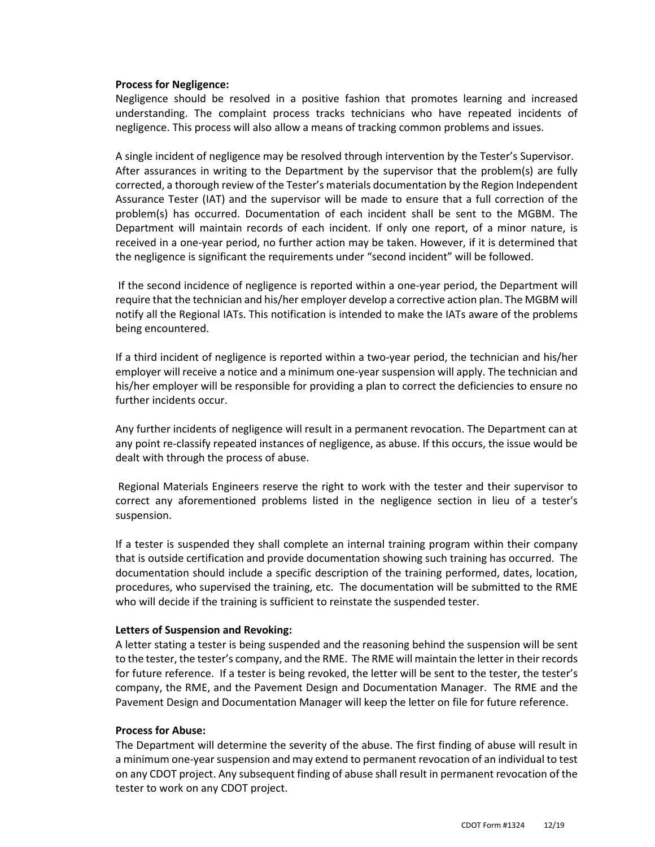#### **Process for Negligence:**

Negligence should be resolved in a positive fashion that promotes learning and increased understanding. The complaint process tracks technicians who have repeated incidents of negligence. This process will also allow a means of tracking common problems and issues.

A single incident of negligence may be resolved through intervention by the Tester's Supervisor. After assurances in writing to the Department by the supervisor that the problem(s) are fully corrected, a thorough review of the Tester's materials documentation by the Region Independent Assurance Tester (IAT) and the supervisor will be made to ensure that a full correction of the problem(s) has occurred. Documentation of each incident shall be sent to the MGBM. The Department will maintain records of each incident. If only one report, of a minor nature, is received in a one-year period, no further action may be taken. However, if it is determined that the negligence is significant the requirements under "second incident" will be followed.

 If the second incidence of negligence is reported within a one-year period, the Department will require that the technician and his/her employer develop a corrective action plan. The MGBM will notify all the Regional IATs. This notification is intended to make the IATs aware of the problems being encountered.

If a third incident of negligence is reported within a two-year period, the technician and his/her employer will receive a notice and a minimum one-year suspension will apply. The technician and his/her employer will be responsible for providing a plan to correct the deficiencies to ensure no further incidents occur.

Any further incidents of negligence will result in a permanent revocation. The Department can at any point re-classify repeated instances of negligence, as abuse. If this occurs, the issue would be dealt with through the process of abuse.

 Regional Materials Engineers reserve the right to work with the tester and their supervisor to correct any aforementioned problems listed in the negligence section in lieu of a tester's suspension.

If a tester is suspended they shall complete an internal training program within their company that is outside certification and provide documentation showing such training has occurred. The documentation should include a specific description of the training performed, dates, location, procedures, who supervised the training, etc. The documentation will be submitted to the RME who will decide if the training is sufficient to reinstate the suspended tester.

#### **Letters of Suspension and Revoking:**

A letter stating a tester is being suspended and the reasoning behind the suspension will be sent to the tester, the tester's company, and the RME. The RME will maintain the letter in their records for future reference. If a tester is being revoked, the letter will be sent to the tester, the tester's company, the RME, and the Pavement Design and Documentation Manager. The RME and the Pavement Design and Documentation Manager will keep the letter on file for future reference.

# **Process for Abuse:**

The Department will determine the severity of the abuse. The first finding of abuse will result in a minimum one-year suspension and may extend to permanent revocation of an individual to test on any CDOT project. Any subsequent finding of abuse shall result in permanent revocation of the tester to work on any CDOT project.